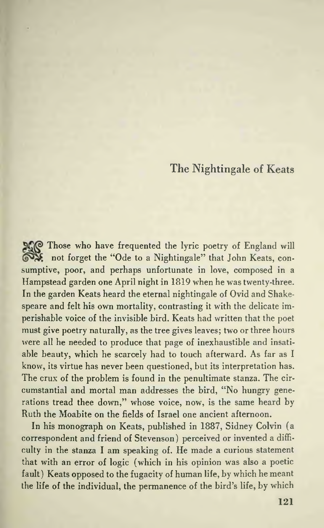## **The Nightingale of Keats**

**N**<sub>1</sub>@ Those who have frequented the lyric poetry of England will not forget the "Ode to a Nightingale" that John Keats, consumptive, poor, and perhaps unfortunate in love, composed in a Hampstead garden one April night in 1819 when he was twenty-three. In the garden Keats heard the eternal nightingale of Ovid and Shakespeare and felt his own mortality, contrasting it with the delicate imperishable voice of the invisible bird. Keats had written that the poet must give poetry naturally, as the tree gives leaves; two or three hours were all he needed to produce that page of inexhaustible and insatiable beauty, which he scarcely had to touch afterward. As far as I know, its virtue has never been questioned, but its interpretation has. The crux of the problem is found in the penultimate stanza. The circumstantial and mortal man addresses the bird, "No hungry generations tread thee down," whose voice, now, is the same heard by Ruth the Moabite on the fields of Israel one ancient afternoon.

In his monograph on Keats, published in 1887, Sidney Colvin (a correspondent and friend of Stevenson) perceived or invented a difficulty in the stanza I am speaking of. He made a curious statement that with an error of logic (which in his opinion was also a poetic fault) Keats opposed to the fugacity of human life, by which he meant the life of the individual, the permanence of the bird's life, by which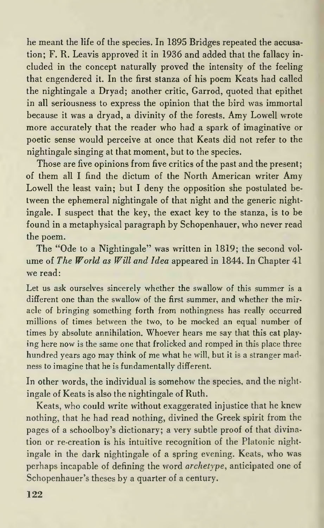he meant the life of the species. In 1895 Bridges repeated the accusation; F. R. Leavis approved it in 1936 and added that the fallacy included in the concept naturally proved the intensity of the feeling that engendered it. In the first stanza of his poem Keats had called the nightingale a Dryad; another critic, Garrod, quoted that epithet in all seriousness to express the opinion that the bird was immortal because it was a dryad, a divinity of the forests. Amy Lowell wrote more accurately that the reader who had a spark of imaginative or poetic sense would perceive at once that Keats did not refer to the nightingale singing at that moment, but to the species.

Those are five opinions from five critics of the past and the present; of them all I find the dictum of the North American writer Amy Lowell the least vain; but I deny the opposition she postulated between the ephemeral nightingale of that night and the generic nightingale. I suspect that the key, the exact key to the stanza, is to be found in a metaphysical paragraph by Schopenhauer, who never read the poem.

The "Ode to a Nightingale" was written in 1819; the second volume of *The World as Will and Idea* appeared in 1844. In Chapter 41 we read:

**Let us ask ourselves sincerely whether the swallow of this summer is a different one than the swallow of the first summer, and whether the miracle of bringing something forth from nothingness has really occurred millions of times between the two, to be mocked an equal number of times by absolute annihilation. Whoever hears me say that this cat playing here now is the same one that frolicked and romped in this place three hundred years ago may think of me what he will, but it is a stranger madness to imagine that he is fundamentally different.**

In other words, the individual is somehow the species, and the nightingale of Keats is also the nightingale of Ruth.

Keats, who could write without exaggerated injustice that he knew nothing, that he had read nothing, divined the Greek spirit from the pages of a schoolboy's dictionary; a very subtle proof of that divination or re-creation is his intuitive recognition of the Platonic nightingale in the dark nightingale of a spring evening. Keats, who was perhaps incapable of defining the word *archetype*, anticipated one of Schopenhauer's theses by a quarter of a century.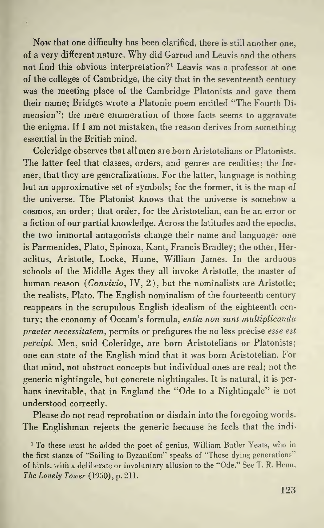Now that one difficulty has been clarified, there is still another one, of a very different nature. Why did Garrod and Leavis and the others not find this obvious interpretation?<sup>1</sup> Leavis was a professor at one of the colleges of Cambridge, the city that in the seventeenth century was the meeting place of the Cambridge Platonists and gave them their name; Bridges wrote a Platonic poem entitled "The Fourth Dimension"; the mere enumeration of those facts seems to aggravate the enigma. If I am not mistaken, the reason derives from something essential in the British mind.

Coleridge observes that all men are born Aristotelians or Platonists. The latter feel that classes, orders, and genres are realities; the former, that they are generalizations. For the latter, language is nothing but an approximative set of symbols; for the former, it is the map of the universe. The Platonist knows that the universe is somehow a cosmos, an order; that order, for the Aristotelian, can be an error or a fiction of our partial knowledge. Across the latitudes and the epochs, the two immortal antagonists change their name and language: one is Parmenides, Plato, Spinoza, Kant, Francis Bradley; the other, Heraclitus, Aristotle, Locke, Hume, William James. In the arduous schools of the Middle Ages they all invoke Aristotle, the master of human reason (*Convivio*, IV, 2), but the nominalists are Aristotle; the realists, Plato. The English nominalism of the fourteenth century reappears in the scrupulous English idealism of the eighteenth century; the economy of Occam's formula, *entia non sunt multiplicanda praeter necessitatem,* permits or prefigures the no less precise *esse est percipi*. Men, said Coleridge, are born Aristotelians or Platonists; one can state of the English mind that it was born Aristotelian. For that mind, not abstract concepts but individual ones are real; not the generic nightingale, but concrete nightingales. It is natural, it is perhaps inevitable, that in England the "Ode to a Nightingale" is not understood correctly.

Please do not read reprobation or disdain into the foregoing words. The Englishman rejects the generic because he feels that the indi-

**1 To these must be added the poet of genius, William Butler Yeats, who in the first stanza of "Sailing to Byzantium" speaks of "Those dying generations" of birds, with a deliberate or involuntary allusion to the "Ode." See T. R. Henn,** *The Lonely Tower* **(1950), p. 211.**